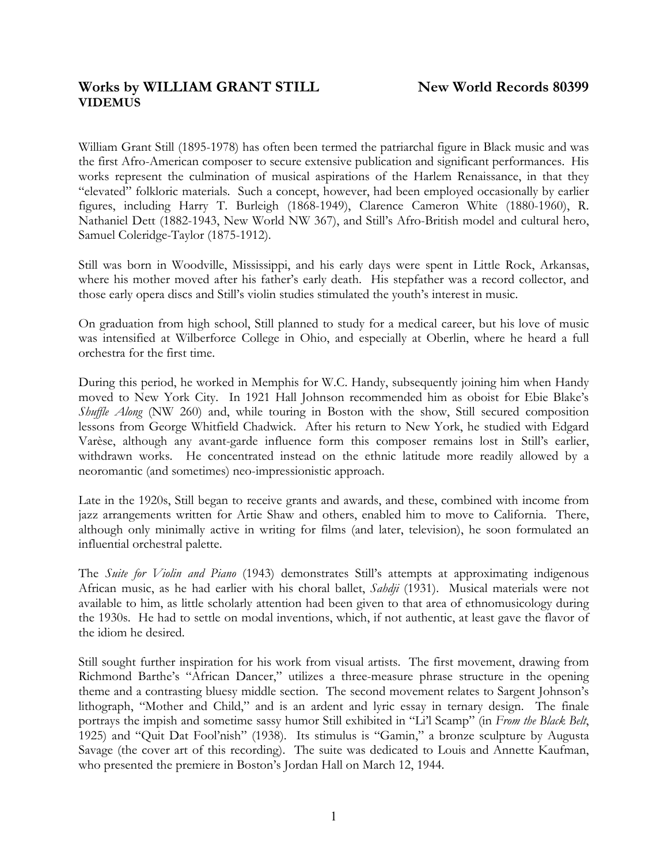# Works by WILLIAM GRANT STILL New World Records 80399 **VIDEMUS**

William Grant Still (1895-1978) has often been termed the patriarchal figure in Black music and was the first Afro-American composer to secure extensive publication and significant performances. His works represent the culmination of musical aspirations of the Harlem Renaissance, in that they "elevated" folkloric materials. Such a concept, however, had been employed occasionally by earlier figures, including Harry T. Burleigh (1868-1949), Clarence Cameron White (1880-1960), R. Nathaniel Dett (1882-1943, New World NW 367), and Still's Afro-British model and cultural hero, Samuel Coleridge-Taylor (1875-1912).

Still was born in Woodville, Mississippi, and his early days were spent in Little Rock, Arkansas, where his mother moved after his father's early death. His stepfather was a record collector, and those early opera discs and Still's violin studies stimulated the youth's interest in music.

On graduation from high school, Still planned to study for a medical career, but his love of music was intensified at Wilberforce College in Ohio, and especially at Oberlin, where he heard a full orchestra for the first time.

During this period, he worked in Memphis for W.C. Handy, subsequently joining him when Handy moved to New York City. In 1921 Hall Johnson recommended him as oboist for Ebie Blake's *Shuffle Along* (NW 260) and, while touring in Boston with the show, Still secured composition lessons from George Whitfield Chadwick. After his return to New York, he studied with Edgard Varèse, although any avant-garde influence form this composer remains lost in Still's earlier, withdrawn works. He concentrated instead on the ethnic latitude more readily allowed by a neoromantic (and sometimes) neo-impressionistic approach.

Late in the 1920s, Still began to receive grants and awards, and these, combined with income from jazz arrangements written for Artie Shaw and others, enabled him to move to California. There, although only minimally active in writing for films (and later, television), he soon formulated an influential orchestral palette.

The *Suite for Violin and Piano* (1943) demonstrates Still's attempts at approximating indigenous African music, as he had earlier with his choral ballet, *Sahdji* (1931). Musical materials were not available to him, as little scholarly attention had been given to that area of ethnomusicology during the 1930s. He had to settle on modal inventions, which, if not authentic, at least gave the flavor of the idiom he desired.

Still sought further inspiration for his work from visual artists. The first movement, drawing from Richmond Barthe's "African Dancer," utilizes a three-measure phrase structure in the opening theme and a contrasting bluesy middle section. The second movement relates to Sargent Johnson's lithograph, "Mother and Child," and is an ardent and lyric essay in ternary design. The finale portrays the impish and sometime sassy humor Still exhibited in "Li'l Scamp" (in *From the Black Belt*, 1925) and "Quit Dat Fool'nish" (1938). Its stimulus is "Gamin," a bronze sculpture by Augusta Savage (the cover art of this recording). The suite was dedicated to Louis and Annette Kaufman, who presented the premiere in Boston's Jordan Hall on March 12, 1944.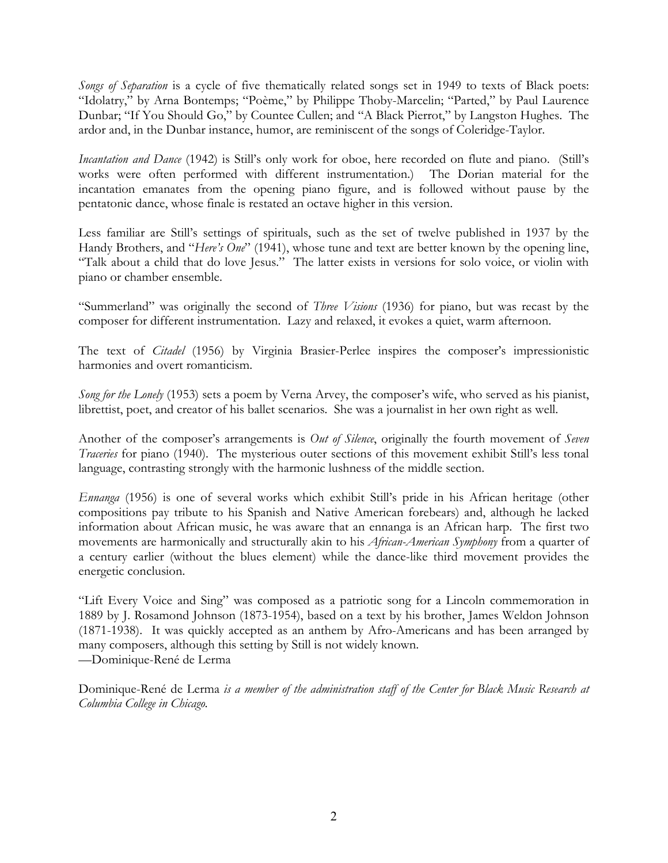*Songs of Separation* is a cycle of five thematically related songs set in 1949 to texts of Black poets: "Idolatry," by Arna Bontemps; "Poème," by Philippe Thoby-Marcelin; "Parted," by Paul Laurence Dunbar; "If You Should Go," by Countee Cullen; and "A Black Pierrot," by Langston Hughes. The ardor and, in the Dunbar instance, humor, are reminiscent of the songs of Coleridge-Taylor.

*Incantation and Dance* (1942) is Still's only work for oboe, here recorded on flute and piano. (Still's works were often performed with different instrumentation.) The Dorian material for the incantation emanates from the opening piano figure, and is followed without pause by the pentatonic dance, whose finale is restated an octave higher in this version.

Less familiar are Still's settings of spirituals, such as the set of twelve published in 1937 by the Handy Brothers, and "*Here's One*" (1941), whose tune and text are better known by the opening line, "Talk about a child that do love Jesus." The latter exists in versions for solo voice, or violin with piano or chamber ensemble.

"Summerland" was originally the second of *Three Visions* (1936) for piano, but was recast by the composer for different instrumentation. Lazy and relaxed, it evokes a quiet, warm afternoon.

The text of *Citadel* (1956) by Virginia Brasier-Perlee inspires the composer's impressionistic harmonies and overt romanticism.

*Song for the Lonely* (1953) sets a poem by Verna Arvey, the composer's wife, who served as his pianist, librettist, poet, and creator of his ballet scenarios. She was a journalist in her own right as well.

Another of the composer's arrangements is *Out of Silence*, originally the fourth movement of *Seven Traceries* for piano (1940). The mysterious outer sections of this movement exhibit Still's less tonal language, contrasting strongly with the harmonic lushness of the middle section.

*Ennanga* (1956) is one of several works which exhibit Still's pride in his African heritage (other compositions pay tribute to his Spanish and Native American forebears) and, although he lacked information about African music, he was aware that an ennanga is an African harp. The first two movements are harmonically and structurally akin to his *African-American Symphony* from a quarter of a century earlier (without the blues element) while the dance-like third movement provides the energetic conclusion.

"Lift Every Voice and Sing" was composed as a patriotic song for a Lincoln commemoration in 1889 by J. Rosamond Johnson (1873-1954), based on a text by his brother, James Weldon Johnson (1871-1938). It was quickly accepted as an anthem by Afro-Americans and has been arranged by many composers, although this setting by Still is not widely known. —Dominique-René de Lerma

Dominique-René de Lerma *is a member of the administration staff of the Center for Black Music Research at Columbia College in Chicago.*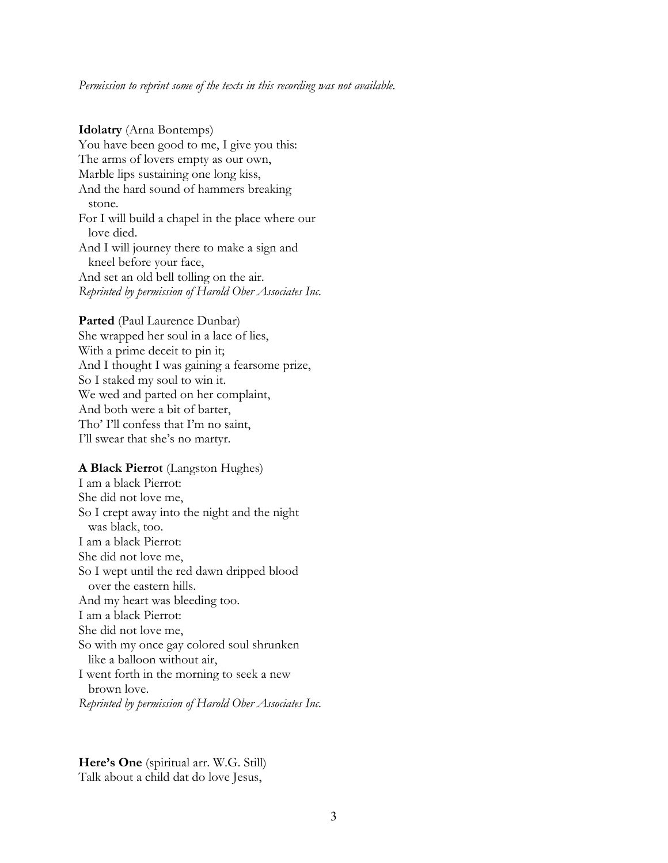#### *Permission to reprint some of the texts in this recording was not available.*

#### **Idolatry** (Arna Bontemps)

You have been good to me, I give you this: The arms of lovers empty as our own, Marble lips sustaining one long kiss, And the hard sound of hammers breaking stone. For I will build a chapel in the place where our love died. And I will journey there to make a sign and kneel before your face, And set an old bell tolling on the air. *Reprinted by permission of Harold Ober Associates Inc.*

**Parted** (Paul Laurence Dunbar) She wrapped her soul in a lace of lies, With a prime deceit to pin it; And I thought I was gaining a fearsome prize, So I staked my soul to win it. We wed and parted on her complaint, And both were a bit of barter, Tho' I'll confess that I'm no saint, I'll swear that she's no martyr.

### **A Black Pierrot** (Langston Hughes)

I am a black Pierrot: She did not love me, So I crept away into the night and the night was black, too. I am a black Pierrot: She did not love me, So I wept until the red dawn dripped blood over the eastern hills. And my heart was bleeding too. I am a black Pierrot: She did not love me, So with my once gay colored soul shrunken like a balloon without air, I went forth in the morning to seek a new brown love. *Reprinted by permission of Harold Ober Associates Inc.*

**Here's One** (spiritual arr. W.G. Still) Talk about a child dat do love Jesus,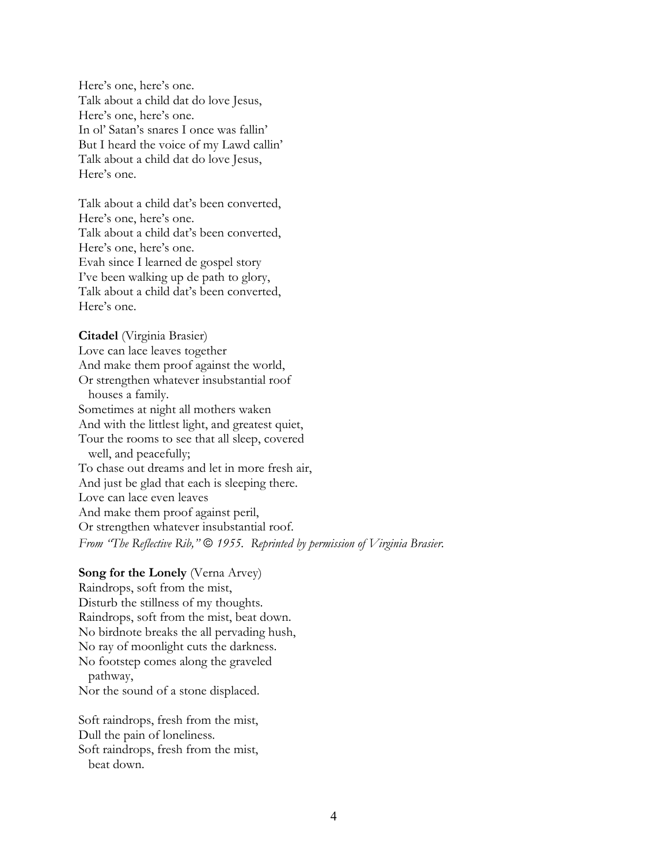Here's one, here's one. Talk about a child dat do love Jesus, Here's one, here's one. In ol' Satan's snares I once was fallin' But I heard the voice of my Lawd callin' Talk about a child dat do love Jesus, Here's one.

Talk about a child dat's been converted, Here's one, here's one. Talk about a child dat's been converted, Here's one, here's one. Evah since I learned de gospel story I've been walking up de path to glory, Talk about a child dat's been converted, Here's one.

**Citadel** (Virginia Brasier) Love can lace leaves together And make them proof against the world, Or strengthen whatever insubstantial roof houses a family. Sometimes at night all mothers waken And with the littlest light, and greatest quiet, Tour the rooms to see that all sleep, covered well, and peacefully; To chase out dreams and let in more fresh air, And just be glad that each is sleeping there. Love can lace even leaves And make them proof against peril, Or strengthen whatever insubstantial roof. *From "The Reflective Rib,"* © 1955. Reprinted by permission of *Virginia Brasier*.

#### **Song for the Lonely** (Verna Arvey)

Raindrops, soft from the mist, Disturb the stillness of my thoughts. Raindrops, soft from the mist, beat down. No birdnote breaks the all pervading hush, No ray of moonlight cuts the darkness. No footstep comes along the graveled pathway, Nor the sound of a stone displaced.

Soft raindrops, fresh from the mist, Dull the pain of loneliness. Soft raindrops, fresh from the mist, beat down.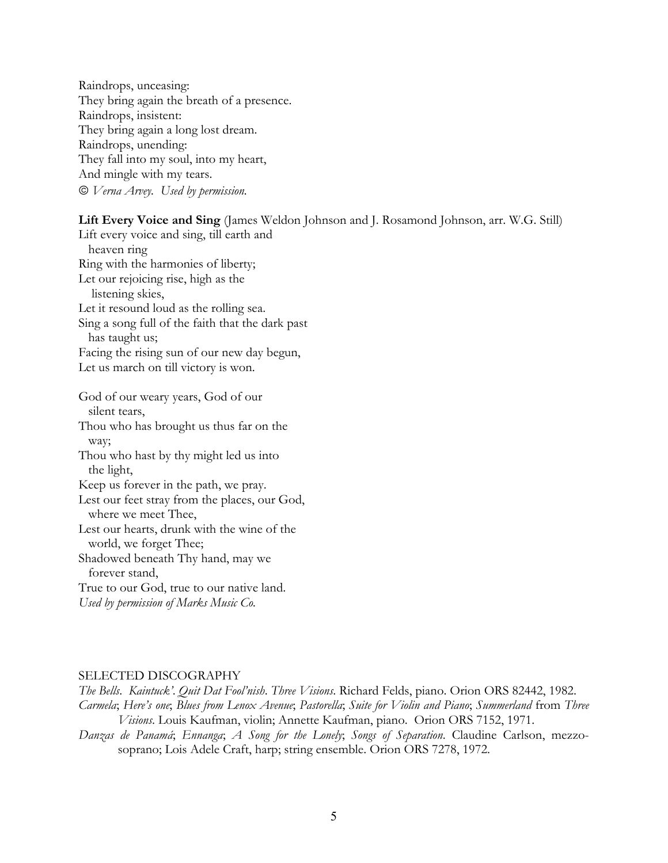Raindrops, unceasing: They bring again the breath of a presence. Raindrops, insistent: They bring again a long lost dream. Raindrops, unending: They fall into my soul, into my heart, And mingle with my tears.  *Verna Arvey. Used by permission.*

### **Lift Every Voice and Sing** (James Weldon Johnson and J. Rosamond Johnson, arr. W.G. Still)

Lift every voice and sing, till earth and heaven ring Ring with the harmonies of liberty; Let our rejoicing rise, high as the listening skies, Let it resound loud as the rolling sea. Sing a song full of the faith that the dark past has taught us; Facing the rising sun of our new day begun, Let us march on till victory is won. God of our weary years, God of our silent tears, Thou who has brought us thus far on the way;

Thou who hast by thy might led us into the light,

Keep us forever in the path, we pray.

Lest our feet stray from the places, our God,

where we meet Thee,

Lest our hearts, drunk with the wine of the world, we forget Thee;

Shadowed beneath Thy hand, may we forever stand,

True to our God, true to our native land.

*Used by permission of Marks Music Co.*

### SELECTED DISCOGRAPHY

*The Bells*. *Kaintuck'*. *Quit Dat Fool'nish*. *Three Visions*. Richard Felds, piano. Orion ORS 82442, 1982. *Carmela*; *Here's one*; *Blues from Lenox Avenue*; *Pastorella*; *Suite for Violin and Piano*; *Summerland* from *Three Visions*. Louis Kaufman, violin; Annette Kaufman, piano. Orion ORS 7152, 1971.

*Danzas de Panamá*; *Ennanga*; *A Song for the Lonely*; *Songs of Separation*. Claudine Carlson, mezzosoprano; Lois Adele Craft, harp; string ensemble. Orion ORS 7278, 1972.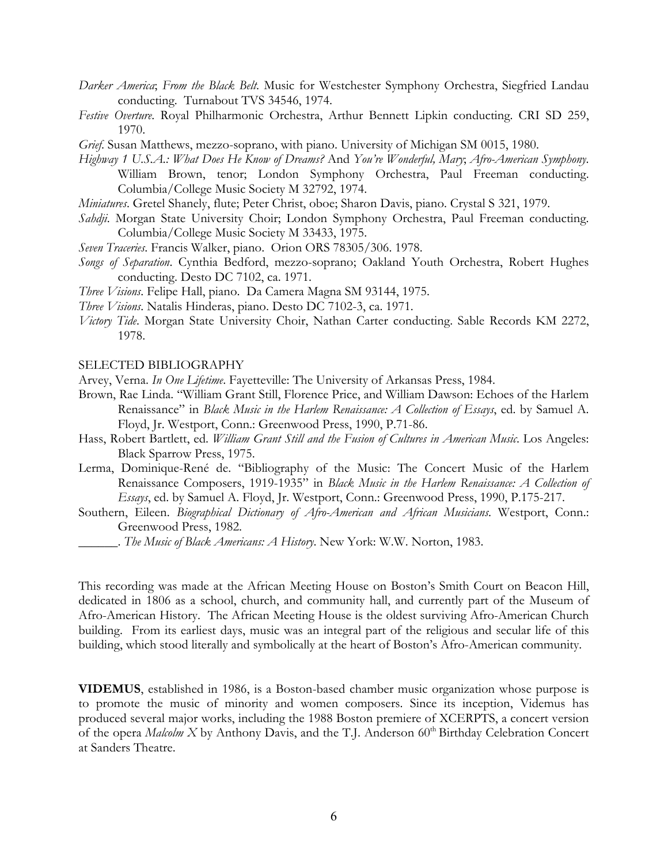- *Darker America*; *From the Black Belt*. Music for Westchester Symphony Orchestra, Siegfried Landau conducting. Turnabout TVS 34546, 1974.
- *Festive Overture*. Royal Philharmonic Orchestra, Arthur Bennett Lipkin conducting. CRI SD 259, 1970.
- *Grief*. Susan Matthews, mezzo-soprano, with piano. University of Michigan SM 0015, 1980.
- *Highway 1 U.S.A.: What Does He Know of Dreams?* And *You're Wonderful, Mary*; *Afro-American Symphony*. William Brown, tenor; London Symphony Orchestra, Paul Freeman conducting. Columbia/College Music Society M 32792, 1974.
- *Miniatures*. Gretel Shanely, flute; Peter Christ, oboe; Sharon Davis, piano. Crystal S 321, 1979.
- *Sahdji*. Morgan State University Choir; London Symphony Orchestra, Paul Freeman conducting. Columbia/College Music Society M 33433, 1975.
- *Seven Traceries*. Francis Walker, piano. Orion ORS 78305/306. 1978.
- *Songs of Separation*. Cynthia Bedford, mezzo-soprano; Oakland Youth Orchestra, Robert Hughes conducting. Desto DC 7102, ca. 1971.
- *Three Visions*. Felipe Hall, piano. Da Camera Magna SM 93144, 1975.
- *Three Visions*. Natalis Hinderas, piano. Desto DC 7102-3, ca. 1971.
- *Victory Tide*. Morgan State University Choir, Nathan Carter conducting. Sable Records KM 2272, 1978.

#### SELECTED BIBLIOGRAPHY

- Arvey, Verna. *In One Lifetime*. Fayetteville: The University of Arkansas Press, 1984.
- Brown, Rae Linda. "William Grant Still, Florence Price, and William Dawson: Echoes of the Harlem Renaissance" in *Black Music in the Harlem Renaissance: A Collection of Essays*, ed. by Samuel A. Floyd, Jr. Westport, Conn.: Greenwood Press, 1990, P.71-86.
- Hass, Robert Bartlett, ed. *William Grant Still and the Fusion of Cultures in American Music*. Los Angeles: Black Sparrow Press, 1975.
- Lerma, Dominique-René de. "Bibliography of the Music: The Concert Music of the Harlem Renaissance Composers, 1919-1935" in *Black Music in the Harlem Renaissance: A Collection of Essays*, ed. by Samuel A. Floyd, Jr. Westport, Conn.: Greenwood Press, 1990, P.175-217.
- Southern, Eileen. *Biographical Dictionary of Afro-American and African Musicians*. Westport, Conn.: Greenwood Press, 1982.
	- \_\_\_\_\_\_. *The Music of Black Americans: A History*. New York: W.W. Norton, 1983.

This recording was made at the African Meeting House on Boston's Smith Court on Beacon Hill, dedicated in 1806 as a school, church, and community hall, and currently part of the Museum of Afro-American History. The African Meeting House is the oldest surviving Afro-American Church building. From its earliest days, music was an integral part of the religious and secular life of this building, which stood literally and symbolically at the heart of Boston's Afro-American community.

**VIDEMUS**, established in 1986, is a Boston-based chamber music organization whose purpose is to promote the music of minority and women composers. Since its inception, Videmus has produced several major works, including the 1988 Boston premiere of XCERPTS, a concert version of the opera *Malcolm X* by Anthony Davis, and the T.J. Anderson 60<sup>th</sup> Birthday Celebration Concert at Sanders Theatre.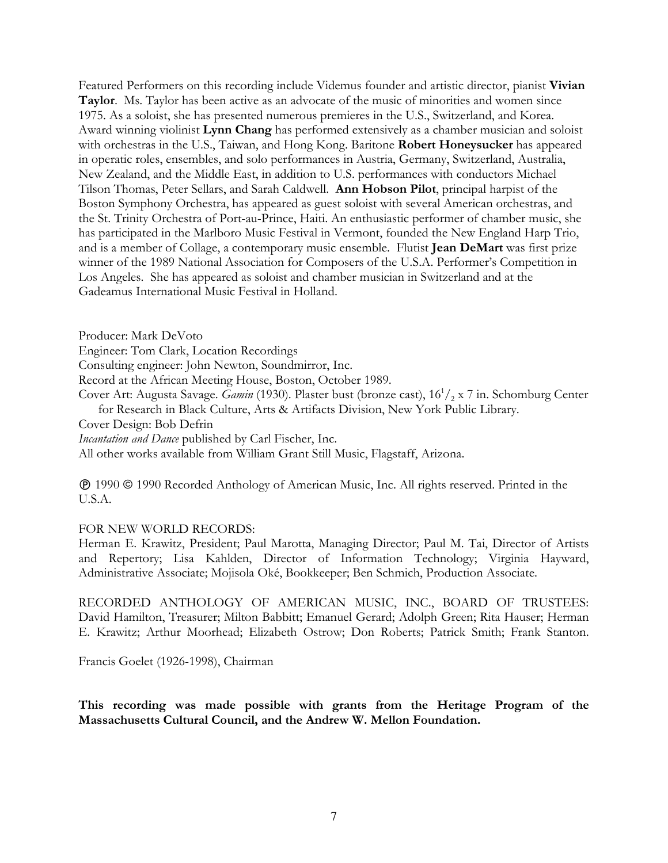Featured Performers on this recording include Videmus founder and artistic director, pianist **Vivian Taylor**. Ms. Taylor has been active as an advocate of the music of minorities and women since 1975. As a soloist, she has presented numerous premieres in the U.S., Switzerland, and Korea. Award winning violinist **Lynn Chang** has performed extensively as a chamber musician and soloist with orchestras in the U.S., Taiwan, and Hong Kong. Baritone **Robert Honeysucker** has appeared in operatic roles, ensembles, and solo performances in Austria, Germany, Switzerland, Australia, New Zealand, and the Middle East, in addition to U.S. performances with conductors Michael Tilson Thomas, Peter Sellars, and Sarah Caldwell. **Ann Hobson Pilot**, principal harpist of the Boston Symphony Orchestra, has appeared as guest soloist with several American orchestras, and the St. Trinity Orchestra of Port-au-Prince, Haiti. An enthusiastic performer of chamber music, she has participated in the Marlboro Music Festival in Vermont, founded the New England Harp Trio, and is a member of Collage, a contemporary music ensemble. Flutist **Jean DeMart** was first prize winner of the 1989 National Association for Composers of the U.S.A. Performer's Competition in Los Angeles. She has appeared as soloist and chamber musician in Switzerland and at the Gadeamus International Music Festival in Holland.

Producer: Mark DeVoto

Engineer: Tom Clark, Location Recordings

Consulting engineer: John Newton, Soundmirror, Inc.

Record at the African Meeting House, Boston, October 1989.

Cover Art: Augusta Savage. *Gamin* (1930). Plaster bust (bronze cast), 16<sup>1</sup>/<sub>2</sub> x 7 in. Schomburg Center for Research in Black Culture, Arts & Artifacts Division, New York Public Library. Cover Design: Bob Defrin

*Incantation and Dance* published by Carl Fischer, Inc.

All other works available from William Grant Still Music, Flagstaff, Arizona.

 1990 1990 Recorded Anthology of American Music, Inc. All rights reserved. Printed in the U.S.A.

### FOR NEW WORLD RECORDS:

Herman E. Krawitz, President; Paul Marotta, Managing Director; Paul M. Tai, Director of Artists and Repertory; Lisa Kahlden, Director of Information Technology; Virginia Hayward, Administrative Associate; Mojisola Oké, Bookkeeper; Ben Schmich, Production Associate.

RECORDED ANTHOLOGY OF AMERICAN MUSIC, INC., BOARD OF TRUSTEES: David Hamilton, Treasurer; Milton Babbitt; Emanuel Gerard; Adolph Green; Rita Hauser; Herman E. Krawitz; Arthur Moorhead; Elizabeth Ostrow; Don Roberts; Patrick Smith; Frank Stanton.

Francis Goelet (1926-1998), Chairman

**This recording was made possible with grants from the Heritage Program of the Massachusetts Cultural Council, and the Andrew W. Mellon Foundation.**